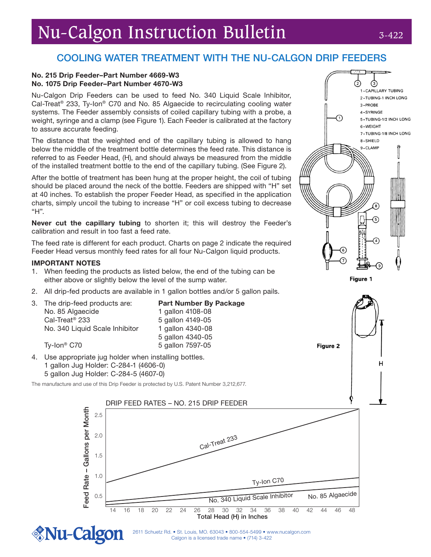# Nu-Calgon Instruction Bulletin 3-422

③ 1-CAPILLARY TUBING 2-TUBING-1 INCH LONG

5-TUBING-1/2 INCH LONG

7-TUBING-1/8 INCH LONG

3-PROBE 4-SYRINGE

6-WEIGHT

8-SHIELD 9-CLAMP

Figure 1

**Figure 2** 

## COOLING WATER TREATMENT WITH THE NU-CALGON DRIP FEEDERS

#### No. 215 Drip Feeder–Part Number 4669-W3 No. 1075 Drip Feeder–Part Number 4670-W3

Nu-Calgon Drip Feeders can be used to feed No. 340 Liquid Scale Inhibitor, Cal-Treat® 233, Ty-Ion® C70 and No. 85 Algaecide to recirculating cooling water systems. The Feeder assembly consists of coiled capillary tubing with a probe, a weight, syringe and a clamp (see Figure 1). Each Feeder is calibrated at the factory to assure accurate feeding.

The distance that the weighted end of the capillary tubing is allowed to hang below the middle of the treatment bottle determines the feed rate. This distance is referred to as Feeder Head, (H), and should always be measured from the middle of the installed treatment bottle to the end of the capillary tubing. (See Figure 2).

After the bottle of treatment has been hung at the proper height, the coil of tubing should be placed around the neck of the bottle. Feeders are shipped with "H" set at 40 inches. To establish the proper Feeder Head, as specified in the application charts, simply uncoil the tubing to increase "H" or coil excess tubing to decrease "H".

Never cut the capillary tubing to shorten it; this will destroy the Feeder's calibration and result in too fast a feed rate.

The feed rate is different for each product. Charts on page 2 indicate the required Feeder Head versus monthly feed rates for all four Nu-Calgon liquid products.

### IMPORTANT NOTES

- 1. When feeding the products as listed below, the end of the tubing can be either above or slightly below the level of the sump water.
- 2. All drip-fed products are available in 1 gallon bottles and/or 5 gallon pails.

|  | 3. The drip-feed products are: | <b>Part Number By Package</b> |
|--|--------------------------------|-------------------------------|
|  | No. 85 Algaecide               | 1 gallon 4108-08              |
|  | Cal-Treat <sup>®</sup> 233     | 5 gallon 4149-05              |
|  | No. 340 Liquid Scale Inhibitor | 1 gallon 4340-08              |
|  |                                | 5 gallon 4340-05              |
|  | Ty-Ion <sup>®</sup> C70        | 5 gallon 7597-05              |

4. Use appropriate jug holder when installing bottles. 1 gallon Jug Holder: C-284-1 (4606-0) 5 gallon Jug Holder: C-284-5 (4607-0)

The manufacture and use of this Drip Feeder is protected by U.S. Patent Number 3,212,677.